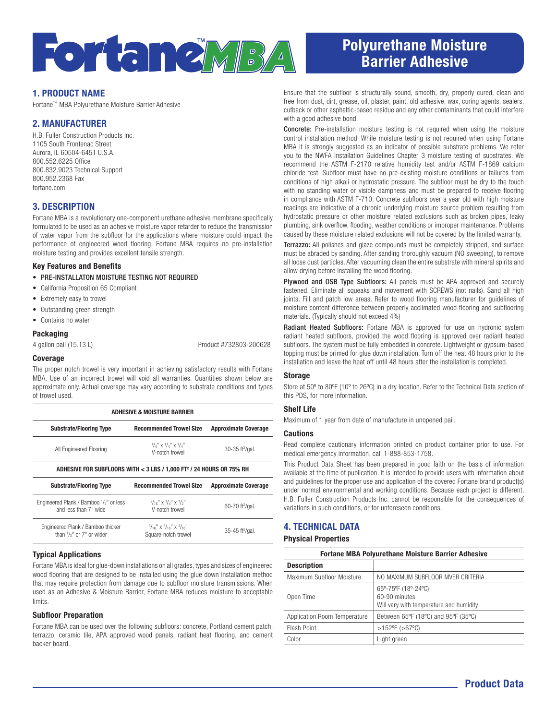

# Polyurethane Moisture Barrier Adhesive

# 1. PRODUCT NAME

Fortane™ MBA Polyurethane Moisture Barrier Adhesive

# 2. MANUFACTURER

H.B. Fuller Construction Products Inc. 1105 South Frontenac Street Aurora, IL 60504-6451 U.S.A. 800.552.6225 Office 800.832.9023 Technical Support 800.952.2368 Fax fortane.com

## 3. DESCRIPTION

Fortane MBA is a revolutionary one-component urethane adhesive membrane specifically formulated to be used as an adhesive moisture vapor retarder to reduce the transmission of water vapor from the subfloor for the applications where moisture could impact the performance of engineered wood flooring. Fortane MBA requires no pre-installation moisture testing and provides excellent tensile strength.

#### Key Features and Benefits

- PRE-INSTALLATON MOISTURE TESTING NOT REQUIRED
- California Proposition 65 Compliant
- Extremely easy to trowel
- Outstanding green strength
- Contains no water

#### Packaging

4 gallon pail (15.13 L) Product #732803-200628

#### Coverage

The proper notch trowel is very important in achieving satisfactory results with Fortane MBA. Use of an incorrect trowel will void all warranties. Quantities shown below are approximate only. Actual coverage may vary according to substrate conditions and types of trowel used.

| <b>ADHESIVE &amp; MOISTURE BARRIER</b>                                           |                                                                  |                                 |  |
|----------------------------------------------------------------------------------|------------------------------------------------------------------|---------------------------------|--|
| <b>Substrate/Flooring Type</b>                                                   | <b>Recommended Trowel Size</b>                                   | <b>Approximate Coverage</b>     |  |
| All Engineered Flooring                                                          | $\frac{1}{4}$ x $\frac{1}{4}$ x $\frac{1}{4}$<br>V-notch trowel  | $30-35$ ft <sup>2</sup> /gal.   |  |
| ADHESIVE FOR SUBFLOORS WITH < 3 LBS / 1,000 FT <sup>2</sup> / 24 HOURS OR 75% RH |                                                                  |                                 |  |
| <b>Substrate/Flooring Type</b>                                                   | <b>Recommended Trowel Size</b>                                   | <b>Approximate Coverage</b>     |  |
| Engineered Plank / Bamboo $\frac{1}{2}$ " or less<br>and less than 7" wide       | $\frac{3}{16}$ x $\frac{1}{4}$ x $\frac{1}{5}$<br>V-notch trowel | 60-70 ft <sup>2</sup> /gal.     |  |
| Engineered Plank / Bamboo thicker<br>than $1/s$ " or $7"$ or wider               | $3/16$ " X $3/16$ " X $3/16$ "<br>Square-notch trowel            | $35 - 45$ ft <sup>2</sup> /gal. |  |

#### Typical Applications

Fortane MBA is ideal for glue-down installations on all grades, types and sizes of engineered wood flooring that are designed to be installed using the glue down installation method that may require protection from damage due to subfloor moisture transmissions. When used as an Adhesive & Moisture Barrier, Fortane MBA reduces moisture to acceptable limits.

#### Subfloor Preparation

Fortane MBA can be used over the following subfloors: concrete, Portland cement patch, terrazzo, ceramic tile, APA approved wood panels, radiant heat flooring, and cement backer board.

Ensure that the subfloor is structurally sound, smooth, dry, properly cured, clean and free from dust, dirt, grease, oil, plaster, paint, old adhesive, wax, curing agents, sealers, cutback or other asphaltic-based residue and any other contaminants that could interfere with a good adhesive bond.

Concrete: Pre-installation moisture testing is not required when using the moisture control installation method. While moisture testing is not required when using Fortane MBA it is strongly suggested as an indicator of possible substrate problems. We refer you to the NWFA Installation Guidelines Chapter 3 moisture testing of substrates. We recommend the ASTM F-2170 relative humidity test and/or ASTM F-1869 calcium chloride test. Subfloor must have no pre-existing moisture conditions or failures from conditions of high alkali or hydrostatic pressure. The subfloor must be dry to the touch with no standing water or visible dampness and must be prepared to receive flooring in compliance with ASTM F-710. Concrete subfloors over a year old with high moisture readings are indicative of a chronic underlying moisture source problem resulting from hydrostatic pressure or other moisture related exclusions such as broken pipes, leaky plumbing, sink overflow, flooding, weather conditions or improper maintenance. Problems caused by these moisture related exclusions will not be covered by the limited warranty.

Terrazzo: All polishes and glaze compounds must be completely stripped, and surface must be abraded by sanding. After sanding thoroughly vacuum (NO sweeping), to remove all loose dust particles. After vacuuming clean the entire substrate with mineral spirits and allow drying before installing the wood flooring.

Plywood and OSB Type Subfloors: All panels must be APA approved and securely fastened. Eliminate all squeaks and movement with SCREWS (not nails). Sand all high joints. Fill and patch low areas. Refer to wood flooring manufacturer for guidelines of moisture content difference between properly acclimated wood flooring and subflooring materials. (Typically should not exceed 4%)

Radiant Heated Subfloors: Fortane MBA is approved for use on hydronic system radiant heated subfloors, provided the wood flooring is approved over radiant heated subfloors. The system must be fully embedded in concrete. Lightweight or gypsum-based topping must be primed for glue down installation. Turn off the heat 48 hours prior to the installation and leave the heat off until 48 hours after the installation is completed.

#### **Storage**

Store at 50° to 80°F (10° to 26°C) in a dry location. Refer to the Technical Data section of this PDS, for more information.

#### Shelf Life

Maximum of 1 year from date of manufacture in unopened pail.

#### Cautions

Read complete cautionary information printed on product container prior to use. For medical emergency information, call 1-888-853-1758.

This Product Data Sheet has been prepared in good faith on the basis of information available at the time of publication. It is intended to provide users with information about and guidelines for the proper use and application of the covered Fortane brand product(s) under normal environmental and working conditions. Because each project is different, H.B. Fuller Construction Products Inc. cannot be responsible for the consequences of variations in such conditions, or for unforeseen conditions.

# 4. TECHNICAL DATA

#### Physical Properties

| <b>Fortane MBA Polyurethane Moisture Barrier Adhesive</b> |                                                                                 |  |
|-----------------------------------------------------------|---------------------------------------------------------------------------------|--|
| <b>Description</b>                                        |                                                                                 |  |
| Maximum Subfloor Moisture                                 | NO MAXIMUM SUBELOOR MVER CRITERIA                                               |  |
| Open Time                                                 | 65°-75°F (18°-24°C)<br>60-90 minutes<br>Will vary with temperature and humidity |  |
| Application Room Temperature                              | Between 65°F (18°C) and 95°F (35°C)                                             |  |
| Flash Point                                               | $>152^{\circ}F$ ( $>67^{\circ}C$ )                                              |  |
| Color                                                     | Light green                                                                     |  |